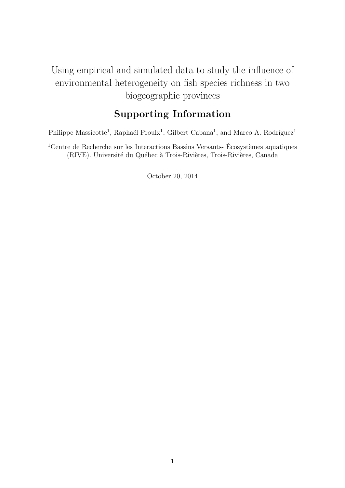# Using empirical and simulated data to study the influence of environmental heterogeneity on fish species richness in two biogeographic provinces

## Supporting Information

Philippe Massicotte<sup>1</sup>, Raphaël Proulx<sup>1</sup>, Gilbert Cabana<sup>1</sup>, and Marco A. Rodríguez<sup>1</sup>

<sup>1</sup>Centre de Recherche sur les Interactions Bassins Versants- Écosystèmes aquatiques (RIVE). Université du Québec à Trois-Rivières, Trois-Rivières, Canada

October 20, 2014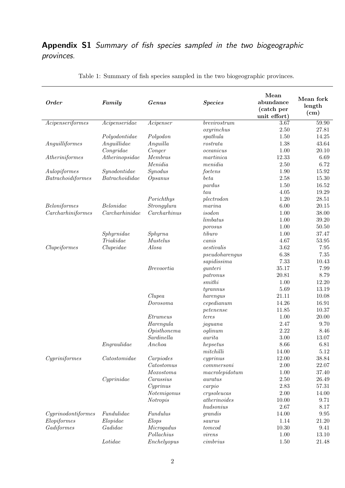## Appendix S1 Summary of fish species sampled in the two biogeographic provinces.

| <b>Order</b>       | Family                          | Genus             | <b>Species</b>    | Mean<br>abundance<br>(catch per<br>unit effort) | Mean fork<br>length<br>(cm) |
|--------------------|---------------------------------|-------------------|-------------------|-------------------------------------------------|-----------------------------|
| Acipenseriformes   | Acipenseridae                   | Acipenser         | brevirostrum      | 3.67                                            | 59.90                       |
|                    |                                 |                   | oxyrinchus        | 2.50                                            | 27.81                       |
|                    | Polyodontidae                   | Polyodon          | spathula          | 1.50                                            | 14.25                       |
| Anguilliformes     | Anguillidae                     | Anguilla          | $\it rostrata$    | 1.38                                            | 43.64                       |
|                    | Congridae                       | Conger            | oceanicus         | 1.00                                            | 20.10                       |
| Atheriniformes     | Atherinopsidae                  | Membras           | martinica         | 12.33                                           | 6.69                        |
|                    |                                 | Menidia           | menidia           | 2.50                                            | 6.72                        |
| Aulopiformes       | Synodontidae                    | Synodus           | foetens           | 1.90                                            | 15.92                       |
| Batrachoidiformes  | Batrachoididae                  | Opsanus           | beta              | 2.58                                            | 15.30                       |
|                    |                                 |                   | pardus            | 1.50                                            | 16.52                       |
|                    |                                 |                   | tau               | 4.05                                            | 19.29                       |
|                    |                                 | Porichthys        | plectrod on       | 1.20                                            | 28.51                       |
| Beloniformes       | $\label{eq:belonide} Belonidae$ | Strongylura       | $\mathit{marina}$ | 6.00                                            | 20.15                       |
| Carcharhiniformes  | Carcharhinidae                  | Carcharhinus      | isodon            | 1.00                                            | 38.00                       |
|                    |                                 |                   | limbatus          | 1.00                                            | 39.20                       |
|                    |                                 |                   | porosus           | 1.00                                            | 50.50                       |
|                    | Sphyrnidae                      | Sphyrna           | tiburo            | 1.00                                            | 37.47                       |
|                    | Triakidae                       | <b>Mustelus</b>   | can is            | 4.67                                            | 53.95                       |
| Clupeiformes       | Clupeidae                       | Alosa             | aestivalis        | 3.62                                            | 7.95                        |
|                    |                                 |                   | pseudoharengus    | 6.38                                            | 7.35                        |
|                    |                                 |                   | sapidissima       | 7.33                                            | 10.43                       |
|                    |                                 | <i>Brevoortia</i> | gunteri           | 35.17                                           | 7.99                        |
|                    |                                 |                   | patronus          | 20.81                                           | 8.79                        |
|                    |                                 |                   | smithi            | 1.00                                            | 12.20                       |
|                    |                                 |                   | t <i>gramnus</i>  | 5.69                                            | 13.19                       |
|                    |                                 | Clupea            | harengus          | 21.11                                           | 10.08                       |
|                    |                                 | Dorosoma          | $c$ epedianum     | 14.26                                           | 16.91                       |
|                    |                                 |                   | petenense         | 11.85                                           | 10.37                       |
|                    |                                 | Etrumeus          | teres             | 1.00                                            | 20.00                       |
|                    |                                 | Harengula         | jaguana           | 2.47                                            | 9.70                        |
|                    |                                 | Opisthonema       | oglinum           | 2.22                                            | 8.46                        |
|                    |                                 | Sardinella        | aurita            | 3.00                                            | 13.07                       |
|                    | Engraulidae                     | Anchoa            | hepsetus          | 8.66                                            | 6.81                        |
|                    |                                 |                   | mitchilli         | 14.00                                           | $5.12\,$                    |
| Cypriniformes      | $\it Catostomidae$              | Carpiodes         | cyprinus          | 12.00                                           | 38.84                       |
|                    |                                 | Catostomus        | commersoni        | 2.00                                            | 22.07                       |
|                    |                                 | <i>Moxostoma</i>  | macrole pidotum   | 1.00                                            | 37.40                       |
|                    | Cyprinidae                      | Carassius         | auratus           | 2.50                                            | 26.49                       |
|                    |                                 | Cyprinus          | carpio            | 2.83                                            | 57.31                       |
|                    |                                 | Notemigonus       | crysoleucas       | 2.00                                            | 14.00                       |
|                    |                                 | Notropis          | atherinoides      | 10.00                                           | 9.71                        |
|                    |                                 |                   | hudsonius         | 2.67                                            | $8.17\,$                    |
| Cyprinodontiformes | Fundulidae                      | Fundulus          | grandis           | 14.00                                           | $\boldsymbol{9.95}$         |
| Elopiformes        | Elopidae                        | Elops             | saurus            | 1.14                                            | 21.20                       |
| Gadiformes         | Gadidae                         | Microgadus        | tomcod            | 10.30                                           | 9.41                        |
|                    |                                 | Pollachius        | virens            | 1.00                                            | 13.10                       |
|                    | Lotidae                         | Enchelyopus       | cimbrius          | 1.50                                            | $21.48\,$                   |

Table 1: Summary of fish species sampled in the two biogeographic provinces.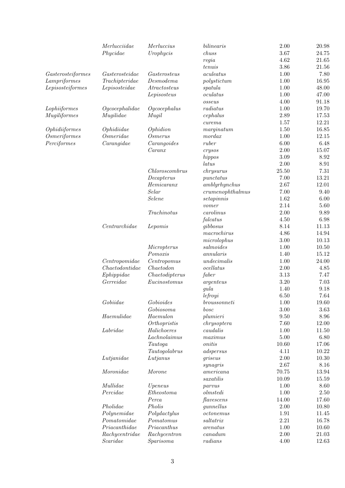|                     | Merlucciidae            | Merluccius                  | $bilinear is% \begin{equation} \left\Vert \rho_{\alpha}^{(n)}\right\Vert _{1}=c_{\alpha}^{(n)}\left\Vert \rho_{\alpha}^{(n)}\right\Vert _{1}=c_{\alpha}^{(n)}\left\Vert \rho_{\alpha}^{(n)}\right\Vert _{1}=c_{\alpha}^{(n)}\left\Vert \rho_{\alpha}^{(n)}\right\Vert _{1}=c_{\alpha}^{(n)}\left\Vert \rho_{\alpha}^{(n)}\right\Vert _{1}=c_{\alpha}^{(n)}\left\Vert \rho_{\alpha}^{(n)}\right\Vert _{1}=c_{\alpha}^{(n)}\left\Vert \rho_{\alpha}^{(n)}\right\Vert _{1}=c_{$ | $2.00\,$ | 20.98    |
|---------------------|-------------------------|-----------------------------|------------------------------------------------------------------------------------------------------------------------------------------------------------------------------------------------------------------------------------------------------------------------------------------------------------------------------------------------------------------------------------------------------------------------------------------------------------------------------|----------|----------|
|                     | Phycidae                | Urophycis                   | chuss                                                                                                                                                                                                                                                                                                                                                                                                                                                                        | 3.67     | 24.75    |
|                     |                         |                             | regia                                                                                                                                                                                                                                                                                                                                                                                                                                                                        | 4.62     | 21.65    |
|                     |                         |                             | tenuis                                                                                                                                                                                                                                                                                                                                                                                                                                                                       | 3.86     | 21.56    |
| Gasterosteiformes   | $\emph{Gasterosteidae}$ | Gasterosteus                | aculeatus                                                                                                                                                                                                                                                                                                                                                                                                                                                                    | 1.00     | 7.80     |
| Lampriformes        | Trachipteridae          | Desmodema                   | polystittum                                                                                                                                                                                                                                                                                                                                                                                                                                                                  | 1.00     | 16.95    |
| Lepisosteiformes    | Lepisosteidae           | A tractosteus               | spatula                                                                                                                                                                                                                                                                                                                                                                                                                                                                      | 1.00     | 48.00    |
|                     |                         | Lepisosteus                 | oculatus                                                                                                                                                                                                                                                                                                                                                                                                                                                                     | 1.00     | 47.00    |
|                     |                         |                             | osseus                                                                                                                                                                                                                                                                                                                                                                                                                                                                       | 4.00     | 91.18    |
|                     |                         |                             |                                                                                                                                                                                                                                                                                                                                                                                                                                                                              |          |          |
| Lophiiformes        | Ogcocephalidae          | Ogcocephalus                | radiatus                                                                                                                                                                                                                                                                                                                                                                                                                                                                     | 1.00     | 19.70    |
| Mugiliformes        | Mugilidae               | Mugil                       | cephalus                                                                                                                                                                                                                                                                                                                                                                                                                                                                     | 2.89     | 17.53    |
|                     |                         |                             | $\it{curema}$                                                                                                                                                                                                                                                                                                                                                                                                                                                                | 1.57     | 12.21    |
| Ophidiiformes       | Ophidiidae              | Ophidion                    | marginatum                                                                                                                                                                                                                                                                                                                                                                                                                                                                   | 1.50     | 16.85    |
| <i>Osmeriformes</i> | Osmeridae               | <i>Osmerus</i>              | mordax                                                                                                                                                                                                                                                                                                                                                                                                                                                                       | 1.00     | 12.15    |
| Perciformes         | Carangidae              | Carangoides                 | ruber                                                                                                                                                                                                                                                                                                                                                                                                                                                                        | 6.00     | 6.48     |
|                     |                         | $Car$ an                    | crysos                                                                                                                                                                                                                                                                                                                                                                                                                                                                       | 2.00     | 15.07    |
|                     |                         |                             | hippos                                                                                                                                                                                                                                                                                                                                                                                                                                                                       | 3.09     | 8.92     |
|                     |                         |                             | latus                                                                                                                                                                                                                                                                                                                                                                                                                                                                        | 2.00     | 8.91     |
|                     |                         | Chloroscombrus              | chrysurus                                                                                                                                                                                                                                                                                                                                                                                                                                                                    | 25.50    | $7.31\,$ |
|                     |                         | Decapterus                  | punctatus                                                                                                                                                                                                                                                                                                                                                                                                                                                                    | 7.00     | 13.21    |
|                     |                         | $Hemicar$ anx               | amblyrhynchus                                                                                                                                                                                                                                                                                                                                                                                                                                                                | 2.67     | 12.01    |
|                     |                         | Selar                       | crumenophthalmus                                                                                                                                                                                                                                                                                                                                                                                                                                                             | 7.00     | 9.40     |
|                     |                         | Selene                      | set a pinnis                                                                                                                                                                                                                                                                                                                                                                                                                                                                 | 1.62     | 6.00     |
|                     |                         |                             | vomer                                                                                                                                                                                                                                                                                                                                                                                                                                                                        | 2.14     | 5.60     |
|                     |                         | Trachinotus                 | carolinus                                                                                                                                                                                                                                                                                                                                                                                                                                                                    | 2.00     | 9.89     |
|                     |                         |                             | falcatus                                                                                                                                                                                                                                                                                                                                                                                                                                                                     | 4.50     | 6.98     |
|                     | Centrarchidae           | Lepomis                     | gibbosus                                                                                                                                                                                                                                                                                                                                                                                                                                                                     | 8.14     | 11.13    |
|                     |                         |                             | macrochirus                                                                                                                                                                                                                                                                                                                                                                                                                                                                  | 4.86     | 14.94    |
|                     |                         |                             | microlophus                                                                                                                                                                                                                                                                                                                                                                                                                                                                  | $3.00\,$ | 10.13    |
|                     |                         | Micropterus                 | salmoides                                                                                                                                                                                                                                                                                                                                                                                                                                                                    | 1.00     | 10.50    |
|                     |                         | Pomoxis                     | annularis                                                                                                                                                                                                                                                                                                                                                                                                                                                                    | 1.40     | 15.12    |
|                     |                         |                             |                                                                                                                                                                                                                                                                                                                                                                                                                                                                              |          |          |
|                     | Centropomidae           | Centropomus                 | undecimalis                                                                                                                                                                                                                                                                                                                                                                                                                                                                  | 1.00     | 24.00    |
|                     | Chae to dontidae        | Chae to don                 | ocellatus                                                                                                                                                                                                                                                                                                                                                                                                                                                                    | $2.00\,$ | 4.85     |
|                     | Ephippidae              | Chae to dipterus            | faber                                                                                                                                                                                                                                                                                                                                                                                                                                                                        | 3.13     | 7.47     |
|                     | Gerreidae               | Eucinos to mus              | $argenteus$                                                                                                                                                                                                                                                                                                                                                                                                                                                                  | $3.20\,$ | 7.03     |
|                     |                         |                             | gula                                                                                                                                                                                                                                                                                                                                                                                                                                                                         | 1.40     | 9.18     |
|                     |                         |                             | leftoyi                                                                                                                                                                                                                                                                                                                                                                                                                                                                      | 6.50     | 7.64     |
|                     | Gobiidae                | Gobioides                   | <i>broussonneti</i>                                                                                                                                                                                                                                                                                                                                                                                                                                                          | 1.00     | 19.60    |
|                     |                         | Gobiosoma                   | bosc                                                                                                                                                                                                                                                                                                                                                                                                                                                                         | 3.00     | 3.63     |
|                     | Haemulidae              | Haemulon                    | plumieri                                                                                                                                                                                                                                                                                                                                                                                                                                                                     | 9.50     | 8.96     |
|                     |                         | Orthopristis                | chrysoptera                                                                                                                                                                                                                                                                                                                                                                                                                                                                  | 7.60     | 12.00    |
|                     | $\emph{Labridae}$       | $\label{thm:1} Halichoeres$ | caudalis                                                                                                                                                                                                                                                                                                                                                                                                                                                                     | 1.00     | 11.50    |
|                     |                         | Lachnolaimus                | maximus                                                                                                                                                                                                                                                                                                                                                                                                                                                                      | 5.00     | 6.80     |
|                     |                         | Tautoga                     | onitis                                                                                                                                                                                                                                                                                                                                                                                                                                                                       | 10.60    | 17.06    |
|                     |                         | Tautogolabrus               | adspersus                                                                                                                                                                                                                                                                                                                                                                                                                                                                    | 4.11     | 10.22    |
|                     | Lutjanidae              | Lutjanus                    | griseus                                                                                                                                                                                                                                                                                                                                                                                                                                                                      | 2.00     | 10.30    |
|                     |                         |                             | synagris                                                                                                                                                                                                                                                                                                                                                                                                                                                                     | 2.67     | 8.16     |
|                     | Moronidae               | Morone                      | americana                                                                                                                                                                                                                                                                                                                                                                                                                                                                    | 70.75    | 13.94    |
|                     |                         |                             | saxatilis                                                                                                                                                                                                                                                                                                                                                                                                                                                                    | 10.09    | 15.59    |
|                     | Mullidae                | Upeneus                     | parvus                                                                                                                                                                                                                                                                                                                                                                                                                                                                       | 1.00     | 8.60     |
|                     | Percidae                | Ethes to ma                 | olmstedi                                                                                                                                                                                                                                                                                                                                                                                                                                                                     | 1.00     | 2.50     |
|                     |                         | Perca                       | flavescens                                                                                                                                                                                                                                                                                                                                                                                                                                                                   | 14.00    | 17.60    |
|                     | Pholidae                | Pholis                      | gunnellus                                                                                                                                                                                                                                                                                                                                                                                                                                                                    | $2.00\,$ | 10.80    |
|                     | Polynemidae             | Polydactylus                | $octon emus$                                                                                                                                                                                                                                                                                                                                                                                                                                                                 | $1.91\,$ | 11.45    |
|                     | Pomatomidae             | Pomatomus                   | saltatrix                                                                                                                                                                                                                                                                                                                                                                                                                                                                    | 2.21     | 16.78    |
|                     |                         |                             |                                                                                                                                                                                                                                                                                                                                                                                                                                                                              |          |          |
|                     | Pria can thidae         | Pria can thus               | are natus                                                                                                                                                                                                                                                                                                                                                                                                                                                                    | 1.00     | 10.60    |
|                     | Rachycentridae          | Rachycentron                | can a dum                                                                                                                                                                                                                                                                                                                                                                                                                                                                    | 2.00     | 21.03    |
|                     | Scaridae                | Sparisoma                   | radians                                                                                                                                                                                                                                                                                                                                                                                                                                                                      | 4.00     | 12.63    |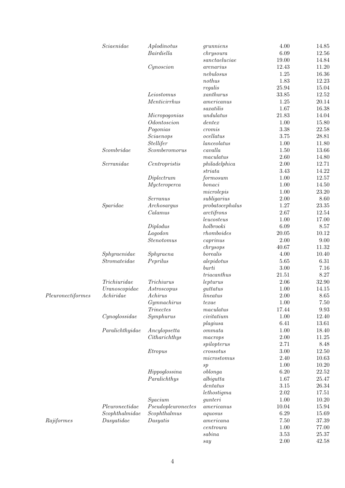|                   | Science         | A plodinotus       | grunniens              | 4.00     | 14.85     |
|-------------------|-----------------|--------------------|------------------------|----------|-----------|
|                   |                 | Bairdiella         | chrys oura             | 6.09     | 12.56     |
|                   |                 |                    | $\emph{sanctaeluciae}$ | 19.00    | 14.84     |
|                   |                 | Cynosition         | arenarius              | 12.43    | 11.20     |
|                   |                 |                    | nebulosus              | 1.25     | 16.36     |
|                   |                 |                    | nothus                 | 1.83     | 12.23     |
|                   |                 |                    | regalis                | 25.94    | 15.04     |
|                   |                 | Leiostomus         | xanthurus              | 33.85    | 12.52     |
|                   |                 | Menticirrhus       | americanus             | 1.25     | 20.14     |
|                   |                 |                    | saxatilis              | 1.67     | 16.38     |
|                   |                 | Micropogonias      | undulatus              | 21.83    | 14.04     |
|                   |                 | Odontoscion        | dentex                 | 1.00     | 15.80     |
|                   |                 | Pogonias           | cromis                 | 3.38     | 22.58     |
|                   |                 | Sciaenops          | ocellatus              | 3.75     | 28.81     |
|                   |                 | Stellifer          | lanceolatus            | 1.00     | 11.80     |
|                   | Scombine        | $S$ comberomorus   | cavalla                | 1.50     | 13.66     |
|                   |                 |                    | maculatus              | 2.60     | 14.80     |
|                   | Serranidae      | Centropristis      | philadelphica          | 2.00     | 12.71     |
|                   |                 |                    | striata                | 3.43     | 14.22     |
|                   |                 | Diplectrum         | formosum               | 1.00     | 12.57     |
|                   |                 | Mycter operca      | bonaci                 | 1.00     | 14.50     |
|                   |                 |                    | microlepis             | 1.00     | 23.20     |
|                   |                 | Serranus           |                        | 2.00     | $8.60\,$  |
|                   |                 |                    | subligarius            | 1.27     |           |
|                   | Sparidae        | Archosargus        | probatocephalus        |          | 23.35     |
|                   |                 | Calamus            | arctifrons             | 2.67     | 12.54     |
|                   |                 |                    | leucosteus             | 1.00     | 17.00     |
|                   |                 | Diplodus           | holbrooki              | 6.09     | 8.57      |
|                   |                 | Lagodon            | rhomboides             | 20.05    | 10.12     |
|                   |                 | <i>Stenotomus</i>  | caprinus               | 2.00     | 9.00      |
|                   |                 |                    | chrysops               | 40.67    | 11.32     |
|                   | Sphyraenidae    | Sphyraena          | borealis               | 4.00     | 10.40     |
|                   | Stromateidae    | Peprilus           | alepidotus             | 5.65     | 6.31      |
|                   |                 |                    | burti                  | $3.00\,$ | 7.16      |
|                   |                 |                    | triacanthus            | 21.51    | 8.27      |
|                   | Trichiuridae    | <b>Trichiurus</b>  | lepturus               | 2.06     | 32.90     |
|                   | Uranoscopidae   | Astroscopus        | guttatus               | 1.00     | 14.15     |
| Pleuronectiformes | A chiridae      | A chirus           | lineatus               | $2.00\,$ | 8.65      |
|                   |                 | Gymnachirus        | te x a e               | 1.00     | 7.50      |
|                   |                 | <i>Trinectes</i>   | maculatus              | 17.44    | 9.93      |
|                   | Cynoglossidae   | Symp hurus         | civitation             | 1.00     | 12.40     |
|                   |                 |                    | plagiusa               | 6.41     | 13.61     |
|                   | Paralichthyidae | Ancylopsetta       | ommata                 | 1.00     | 18.40     |
|                   |                 | Citharichthys      | macrops                | $2.00\,$ | $11.25\,$ |
|                   |                 |                    | spilopterus            | 2.71     | 8.48      |
|                   |                 | Etropus            | crossotus              | $3.00\,$ | 12.50     |
|                   |                 |                    | microstomus            | 2.40     | 10.63     |
|                   |                 |                    | sp                     | 1.00     | 10.20     |
|                   |                 | Hippoglossina      | oblonga                | 6.20     | $22.52\,$ |
|                   |                 | Paralichthys       | albigutta              | 1.67     | 25.47     |
|                   |                 |                    | dentatus               | $3.15\,$ | $26.34\,$ |
|                   |                 |                    | let hostigma           | $2.02\,$ | 17.51     |
|                   |                 | Syacium            | gunteri                | 1.00     | 10.20     |
|                   | Pleuronectidae  | Pseudopleuronectes | americanus             | 10.04    | 15.94     |
|                   | Scophthalmidae  | Scophthalmus       | a quosus               | 6.29     | 15.69     |
| Rajiformes        | Dasyatidae      | Dasyatis           | americana              | 7.50     | 37.39     |
|                   |                 |                    | centroura              | 1.00     | 77.00     |
|                   |                 |                    | sabina                 | $3.53\,$ | $25.37\,$ |
|                   |                 |                    | say                    | $2.00\,$ | $42.58\,$ |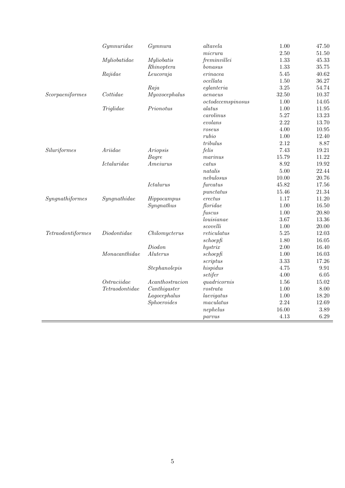|                   | Gymnuridae         | Gymnura            | altavela          | 1.00  | 47.50     |
|-------------------|--------------------|--------------------|-------------------|-------|-----------|
|                   |                    |                    | micrura           | 2.50  | $51.50\,$ |
|                   | Myliobatidae       | Myliobatis         | freminvillei      | 1.33  | 45.33     |
|                   |                    | Rhinoptera         | bonasus           | 1.33  | 35.75     |
|                   | Rajidae            | Leucoraja          | erinacea          | 5.45  | 40.62     |
|                   |                    |                    | ocellata          | 1.50  | 36.27     |
|                   |                    | Raja               | $e$ glanteria     | 3.25  | 54.74     |
| Scorpaeniformes   | Cottidae           | Myoxo cephalus     | aenaeus           | 32.50 | 10.37     |
|                   |                    |                    | octodecemspinosus | 1.00  | 14.05     |
|                   | Triglidae          | Prionotus          | $\it alatus$      | 1.00  | 11.95     |
|                   |                    |                    | carolinus         | 5.27  | 13.23     |
|                   |                    |                    | evolans           | 2.22  | 13.70     |
|                   |                    |                    | roseus            | 4.00  | 10.95     |
|                   |                    |                    | rubio             | 1.00  | 12.40     |
|                   |                    |                    | tribulus          | 2.12  | 8.87      |
| Siluriformes      | Ariidae            | Ariopsis           | felis             | 7.43  | 19.21     |
|                   |                    | Bagre              | marinus           | 15.79 | 11.22     |
|                   | <i>Ictaluridae</i> | Ameiurus           | catus             | 8.92  | 19.92     |
|                   |                    |                    | natalis           | 5.00  | 22.44     |
|                   |                    |                    | nebulosus         | 10.00 | 20.76     |
|                   |                    | Ictalurus          | furcatus          | 45.82 | 17.56     |
|                   |                    |                    | punctatus         | 15.46 | 21.34     |
| Syngnathiformes   | Syngnathidae       | Hippocampus        | erectus           | 1.17  | 11.20     |
|                   |                    | Syngnathus         | floridae          | 1.00  | 16.50     |
|                   |                    |                    | fuscus            | 1.00  | 20.80     |
|                   |                    |                    | louisianae        | 3.67  | 13.36     |
|                   |                    |                    | scovelli          | 1.00  | 20.00     |
| Tetraodontiformes | Diodontidae        | Chilomycterus      | reticulatus       | 5.25  | 12.03     |
|                   |                    |                    | schoepf           | 1.80  | $16.05\,$ |
|                   |                    | Diodon             | hystrix           | 2.00  | 16.40     |
|                   | Monacanthidae      | Alterus            | schoepf           | 1.00  | 16.03     |
|                   |                    |                    | scriptus          | 3.33  | 17.26     |
|                   |                    | Stephanolepis      | hispidus          | 4.75  | 9.91      |
|                   |                    |                    | setifer           | 4.00  | $6.05$    |
|                   | Ostraciidae        | A can the stracion | quadricornis      | 1.56  | 15.02     |
|                   | Tetraodontidae     | Canthigaster       | $\it rostrata$    | 1.00  | 8.00      |
|                   |                    | Lagocephalus       | laevigatus        | 1.00  | 18.20     |
|                   |                    | Sphoeroides        | maculatus         | 2.24  | 12.69     |
|                   |                    |                    | nephelus          | 16.00 | 3.89      |
|                   |                    |                    | parvus            | 4.13  | 6.29      |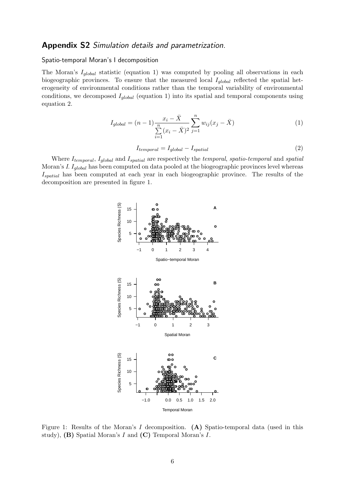### Appendix S2 Simulation details and parametrization.

#### Spatio-temporal Moran's I decomposition

The Moran's  $I_{global}$  statistic (equation 1) was computed by pooling all observations in each biogeographic provinces. To ensure that the measured local  $I_{global}$  reflected the spatial heterogeneity of environmental conditions rather than the temporal variability of environmental conditions, we decomposed  $I_{global}$  (equation 1) into its spatial and temporal components using equation 2.

$$
I_{global} = (n-1)\frac{x_i - \bar{X}}{\sum\limits_{i=1}^{n} (x_i - \bar{X})^2} \sum_{j=1}^{n} w_{ij} (x_j - \bar{X})
$$
\n(1)

$$
I_{temporal} = I_{global} - I_{spatial}
$$
\n
$$
(2)
$$

Where  $I_{temporal}$ ,  $I_{global}$  and  $I_{spatial}$  are respectively the temporal, spatio-temporal and spatial Moran's I.  $I_{global}$  has been computed on data pooled at the biogeographic provinces level whereas Ispatial has been computed at each year in each biogeographic province. The results of the decomposition are presented in figure 1.



Figure 1: Results of the Moran's I decomposition.  $(A)$  Spatio-temporal data (used in this study),  $(B)$  Spatial Moran's I and  $(C)$  Temporal Moran's I.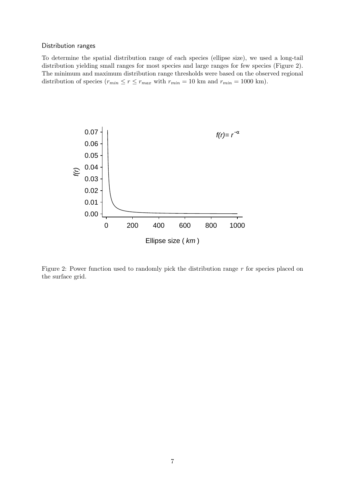### Distribution ranges

To determine the spatial distribution range of each species (ellipse size), we used a long-tail distribution yielding small ranges for most species and large ranges for few species (Figure 2). The minimum and maximum distribution range thresholds were based on the observed regional distribution of species  $(r_{min} \le r \le r_{max}$  with  $r_{min} = 10$  km and  $r_{min} = 1000$  km).



Figure 2: Power function used to randomly pick the distribution range  $r$  for species placed on the surface grid.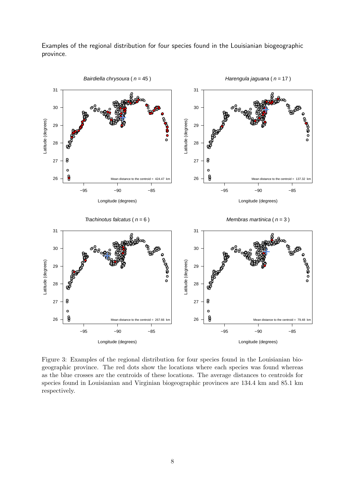Examples of the regional distribution for four species found in the Louisianian biogeographic province.



Figure 3: Examples of the regional distribution for four species found in the Louisianian biogeographic province. The red dots show the locations where each species was found whereas as the blue crosses are the centroids of these locations. The average distances to centroids for species found in Louisianian and Virginian biogeographic provinces are 134.4 km and 85.1 km respectively.